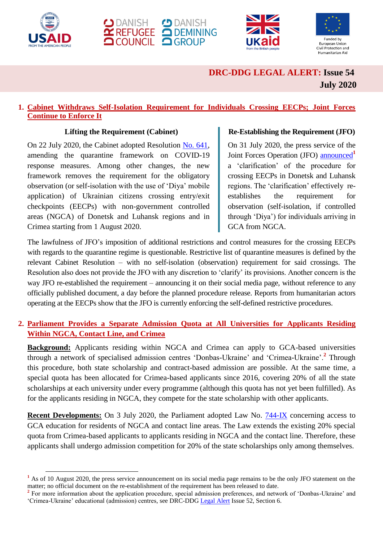

l







# **DRC-DDG LEGAL ALERT: Issue 54 July 2020**

### **1. Cabinet Withdraws Self-Isolation Requirement for Individuals Crossing EECPs; Joint Forces Continue to Enforce It**

#### **Lifting the Requirement (Cabinet)**

On 22 July 2020, the Cabinet adopted Resolution [No. 641,](https://zakon.rada.gov.ua/laws/show/641-2020-п#Text) amending the quarantine framework on COVID-19 response measures. Among other changes, the new framework removes the requirement for the obligatory observation (or self-isolation with the use of 'Diya' mobile application) of Ukrainian citizens crossing entry/exit checkpoints (EECPs) with non-government controlled areas (NGCA) of Donetsk and Luhansk regions and in Crimea starting from 1 August 2020.

### **Re-Establishing the Requirement (JFO)**

On 31 July 2020, the press service of the Joint Forces Operation (JFO) [announced](https://www.facebook.com/pressjfo.news/posts/911158539376763)**<sup>1</sup>** a 'clarification' of the procedure for crossing EECPs in Donetsk and Luhansk regions. The 'clarification' effectively reestablishes the requirement for observation (self-isolation, if controlled through 'Diya') for individuals arriving in GCA from NGCA.

The lawfulness of JFO's imposition of additional restrictions and control measures for the crossing EECPs with regards to the quarantine regime is questionable. Restrictive list of quarantine measures is defined by the relevant Cabinet Resolution – with no self-isolation (observation) requirement for said crossings. The Resolution also does not provide the JFO with any discretion to 'clarify' its provisions. Another concern is the way JFO re-established the requirement – announcing it on their social media page, without reference to any officially published document, a day before the planned procedure release. Reports from humanitarian actors operating at the EECPs show that the JFO is currently enforcing the self-defined restrictive procedures.

## **2. Parliament Provides a Separate Admission Quota at All Universities for Applicants Residing Within NGCA, Contact Line, and Crimea**

**Background:** Applicants residing within NGCA and Crimea can apply to GCA-based universities through a network of specialised admission centres 'Donbas-Ukraine' and 'Crimea-Ukraine'.**<sup>2</sup>** Through this procedure, both state scholarship and contract-based admission are possible. At the same time, a special quota has been allocated for Crimea-based applicants since 2016, covering 20% of all the state scholarships at each university under every programme (although this quota has not yet been fulfilled). As for the applicants residing in NGCA, they compete for the state scholarship with other applicants.

**Recent Developments:** On 3 July 2020, the Parliament adopted Law No. [744-IX](http://w1.c1.rada.gov.ua/pls/zweb2/webproc4_1?pf3511=69266) concerning access to GCA education for residents of NGCA and contact line areas. The Law extends the existing 20% special quota from Crimea-based applicants to applicants residing in NGCA and the contact line. Therefore, these applicants shall undergo admission competition for 20% of the state scholarships only among themselves.

<sup>&</sup>lt;sup>1</sup> As of 10 August 2020, the press service announcement on its social media page remains to be the only JFO statement on the matter; no official document on the re-establishment of the requirement has been released to date.

<sup>&</sup>lt;sup>2</sup> For more information about the application procedure, special admission preferences, and network of 'Donbas-Ukraine' and 'Crimea-Ukraine' educational (admission) centres, see DRC-DD[G Legal Alert](https://reliefweb.int/report/ukraine/ukraine-drc-ddg-legal-alert-issue-52-may-2020-enruuk) Issue 52, Section 6.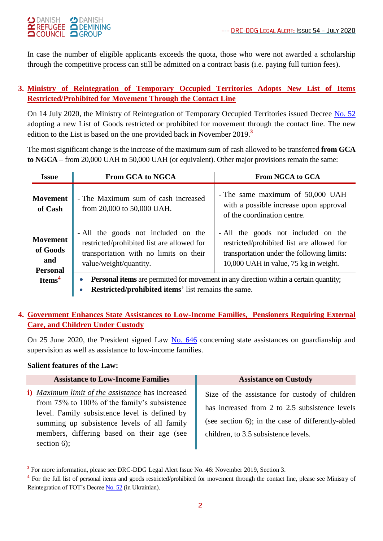

In case the number of eligible applicants exceeds the quota, those who were not awarded a scholarship through the competitive process can still be admitted on a contract basis (i.e. paying full tuition fees).

### **3. Ministry of Reintegration of Temporary Occupied Territories Adopts New List of Items Restricted/Prohibited for Movement Through the Contact Line**

On 14 July 2020, the Ministry of Reintegration of Temporary Occupied Territories issued Decree [No. 52](https://mtot.gov.ua/files/uploads/7c2e5b20-cbea-11ea-876c-9190e075a72c.pdf) adopting a new List of Goods restricted or prohibited for movement through the contact line. The new edition to the List is based on the one provided back in November 2019. **3**

The most significant change is the increase of the maximum sum of cash allowed to be transferred **from GCA to NGCA** – from 20,000 UAH to 50,000 UAH (or equivalent). Other major provisions remain the same:

| <b>Issue</b>                                          | <b>From GCA to NGCA</b>                                                                                                                                                       | <b>From NGCA to GCA</b>                                                                                                                                                  |  |
|-------------------------------------------------------|-------------------------------------------------------------------------------------------------------------------------------------------------------------------------------|--------------------------------------------------------------------------------------------------------------------------------------------------------------------------|--|
| <b>Movement</b><br>of Cash                            | - The Maximum sum of cash increased<br>from 20,000 to 50,000 UAH.                                                                                                             | - The same maximum of 50,000 UAH<br>with a possible increase upon approval<br>of the coordination centre.                                                                |  |
| <b>Movement</b><br>of Goods<br>and<br><b>Personal</b> | - All the goods not included on the<br>restricted/prohibited list are allowed for<br>transportation with no limits on their<br>value/weight/quantity.                         | - All the goods not included on the<br>restricted/prohibited list are allowed for<br>transportation under the following limits:<br>10,000 UAH in value, 75 kg in weight. |  |
| Items <sup>4</sup>                                    | <b>Personal items</b> are permitted for movement in any direction within a certain quantity;<br>$\bullet$<br>Restricted/prohibited items' list remains the same.<br>$\bullet$ |                                                                                                                                                                          |  |

## **4. Government Enhances State Assistances to Low-Income Families, Pensioners Requiring External Care, and Children Under Custody**

On 25 June 2020, the President signed Law [No. 646](https://zakon.rada.gov.ua/laws/show/646-IX#Text) concerning state assistances on guardianship and supervision as well as assistance to low-income families.

### **Salient features of the Law:**

| <b>Assistance to Low-Income Families</b>                                                                                                                                                                                                                        | <b>Assistance on Custody</b>                                                                                                                                                                  |
|-----------------------------------------------------------------------------------------------------------------------------------------------------------------------------------------------------------------------------------------------------------------|-----------------------------------------------------------------------------------------------------------------------------------------------------------------------------------------------|
| i) Maximum limit of the assistance has increased<br>from 75% to 100% of the family's subsistence<br>level. Family subsistence level is defined by<br>summing up subsistence levels of all family<br>members, differing based on their age (see<br>section $6$ ; | Size of the assistance for custody of children<br>has increased from 2 to 2.5 subsistence levels<br>(see section 6); in the case of differently-abled<br>children, to 3.5 subsistence levels. |

 $\overline{a}$ <sup>3</sup> For more information, please see DRC-DDG Legal Alert Issue No. 46: November 2019, Section 3.

<sup>&</sup>lt;sup>4</sup> For the full list of personal items and goods restricted/prohibited for movement through the contact line, please see Ministry of Reintegration of TOT's Decre[e No. 52](https://mtot.gov.ua/files/uploads/7c2e5b20-cbea-11ea-876c-9190e075a72c.pdf) (in Ukrainian).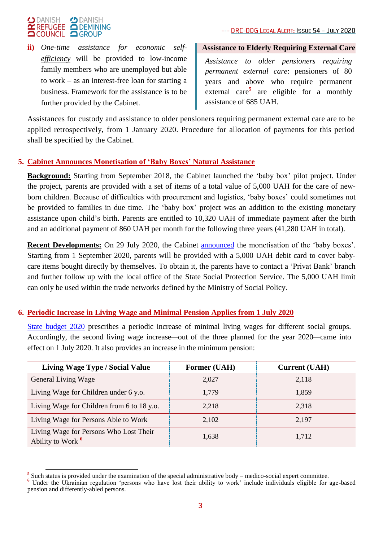

**ii)** *One-time assistance for economic selfefficiency* will be provided to low-income family members who are unemployed but able to work – as an interest-free loan for starting a business. Framework for the assistance is to be further provided by the Cabinet.

#### **Assistance to Elderly Requiring External Care**

*Assistance to older pensioners requiring permanent external care*: pensioners of 80 years and above who require permanent external care**<sup>5</sup>** are eligible for a monthly assistance of 685 UAH.

Assistances for custody and assistance to older pensioners requiring permanent external care are to be applied retrospectively, from 1 January 2020. Procedure for allocation of payments for this period shall be specified by the Cabinet.

### **5. Cabinet Announces Monetisation of 'Baby Boxes' Natural Assistance**

**Background:** Starting from September 2018, the Cabinet launched the 'baby box' pilot project. Under the project, parents are provided with a set of items of a total value of 5,000 UAH for the care of newborn children. Because of difficulties with procurement and logistics, 'baby boxes' could sometimes not be provided to families in due time. The 'baby box' project was an addition to the existing monetary assistance upon child's birth. Parents are entitled to 10,320 UAH of immediate payment after the birth and an additional payment of 860 UAH per month for the following three years (41,280 UAH in total).

**Recent Developments:** On 29 July 2020, the Cabinet [announced](https://www.kmu.gov.ua/news/minsocpolitiki-rozpochinaye-realizaciyu-pilotnogo-proektu-po-monetizaciyi-odnorazovoyi-naturalnoyi-dopomogi-pakunok-malyuka) the monetisation of the 'baby boxes'. Starting from 1 September 2020, parents will be provided with a 5,000 UAH debit card to cover babycare items bought directly by themselves. To obtain it, the parents have to contact a 'Privat Bank' branch and further follow up with the local office of the State Social Protection Service. The 5,000 UAH limit can only be used within the trade networks defined by the Ministry of Social Policy.

#### **6. Periodic Increase in Living Wage and Minimal Pension Applies from 1 July 2020**

[State budget 2020](https://zakon.rada.gov.ua/laws/show/294-20/) prescribes a periodic increase of minimal living wages for different social groups. Accordingly, the second living wage increase*—*out of the three planned for the year 2020*—*came into effect on 1 July 2020. It also provides an increase in the minimum pension:

| <b>Living Wage Type / Social Value</b>                                 | <b>Former (UAH)</b> | <b>Current (UAH)</b> |
|------------------------------------------------------------------------|---------------------|----------------------|
| <b>General Living Wage</b>                                             | 2,027               | 2,118                |
| Living Wage for Children under 6 y.o.                                  | 1,779               | 1,859                |
| Living Wage for Children from 6 to 18 y.o.                             | 2,218               | 2,318                |
| Living Wage for Persons Able to Work                                   | 2.102               | 2.197                |
| Living Wage for Persons Who Lost Their<br>Ability to Work <sup>6</sup> | 1,638               | 1,712                |

<sup>&</sup>lt;sup>5</sup><br>
Such status is provided under the examination of the special administrative body – medico-social expert committee.

<sup>&</sup>lt;sup>6</sup> Under the Ukrainian regulation 'persons who have lost their ability to work' include individuals eligible for age-based pension and differently-abled persons.